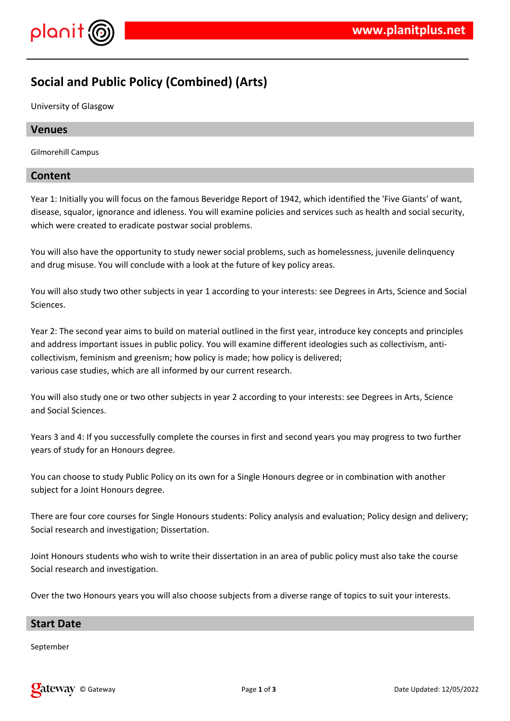

# **Social and Public Policy (Combined) (Arts)**

University of Glasgow

### **Venues**

Gilmorehill Campus

### **Content**

Year 1: Initially you will focus on the famous Beveridge Report of 1942, which identified the 'Five Giants' of want, disease, squalor, ignorance and idleness. You will examine policies and services such as health and social security, which were created to eradicate postwar social problems.

You will also have the opportunity to study newer social problems, such as homelessness, juvenile delinquency and drug misuse. You will conclude with a look at the future of key policy areas.

You will also study two other subjects in year 1 according to your interests: see Degrees in Arts, Science and Social Sciences.

Year 2: The second year aims to build on material outlined in the first year, introduce key concepts and principles and address important issues in public policy. You will examine different ideologies such as collectivism, anticollectivism, feminism and greenism; how policy is made; how policy is delivered; various case studies, which are all informed by our current research.

You will also study one or two other subjects in year 2 according to your interests: see Degrees in Arts, Science and Social Sciences.

Years 3 and 4: If you successfully complete the courses in first and second years you may progress to two further years of study for an Honours degree.

You can choose to study Public Policy on its own for a Single Honours degree or in combination with another subject for a Joint Honours degree.

There are four core courses for Single Honours students: Policy analysis and evaluation; Policy design and delivery; Social research and investigation; Dissertation.

Joint Honours students who wish to write their dissertation in an area of public policy must also take the course Social research and investigation.

Over the two Honours years you will also choose subjects from a diverse range of topics to suit your interests.

#### **Start Date**

September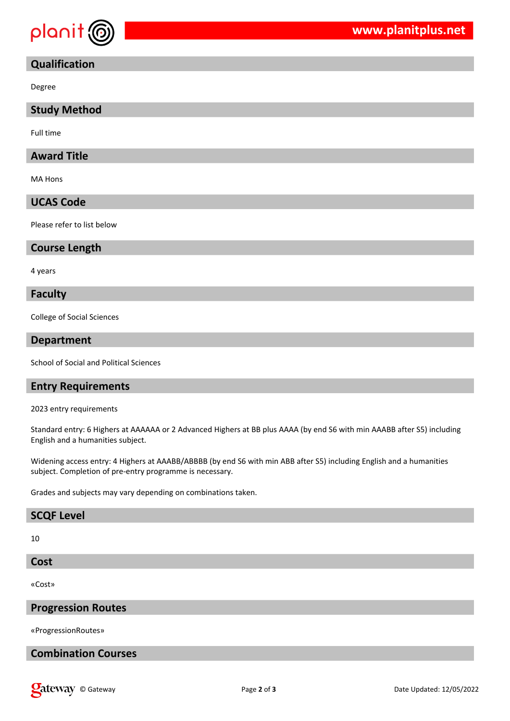

# **Qualification**

Degree

#### **Study Method**

Full time

### **Award Title**

MA Hons

### **UCAS Code**

Please refer to list below

#### **Course Length**

4 years

#### **Faculty**

College of Social Sciences

#### **Department**

School of Social and Political Sciences

#### **Entry Requirements**

2023 entry requirements

Standard entry: 6 Highers at AAAAAA or 2 Advanced Highers at BB plus AAAA (by end S6 with min AAABB after S5) including English and a humanities subject.

Widening access entry: 4 Highers at AAABB/ABBBB (by end S6 with min ABB after S5) including English and a humanities subject. Completion of pre-entry programme is necessary.

Grades and subjects may vary depending on combinations taken.

#### **SCQF Level**

10

#### **Cost**

«Cost»

#### **Progression Routes**

«ProgressionRoutes»

# **Combination Courses**

**Callet Way** © Gateway **Called: 12/05/2022** Page 2 of 3